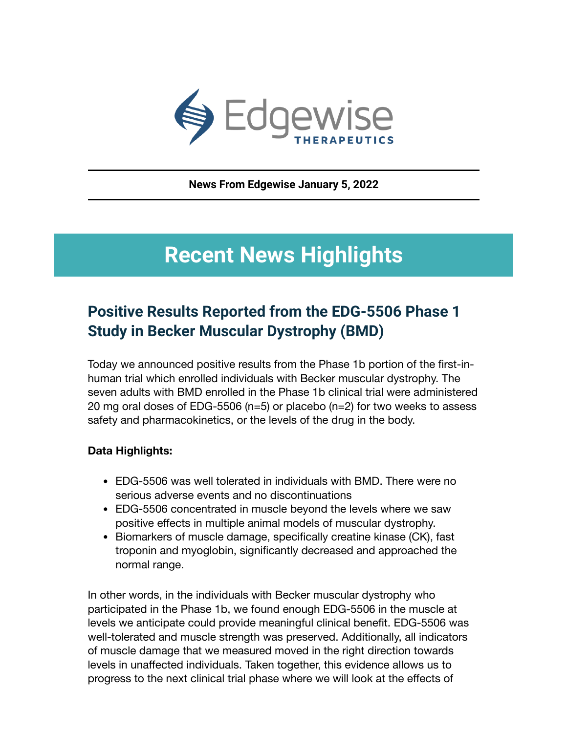

**News From Edgewise January 5, 2022**

# **Recent News Highlights**

#### **Positive Results Reported from the EDG-5506 Phase 1 Study in Becker Muscular Dystrophy (BMD)**

Today we announced positive results from the Phase 1b portion of the first-inhuman trial which enrolled individuals with Becker muscular dystrophy. The seven adults with BMD enrolled in the Phase 1b clinical trial were administered 20 mg oral doses of EDG-5506 (n=5) or placebo (n=2) for two weeks to assess safety and pharmacokinetics, or the levels of the drug in the body.

#### **Data Highlights:**

- EDG-5506 was well tolerated in individuals with BMD. There were no serious adverse events and no discontinuations
- EDG-5506 concentrated in muscle beyond the levels where we saw positive effects in multiple animal models of muscular dystrophy.
- Biomarkers of muscle damage, specifically creatine kinase (CK), fast troponin and myoglobin, significantly decreased and approached the normal range.

In other words, in the individuals with Becker muscular dystrophy who participated in the Phase 1b, we found enough EDG-5506 in the muscle at levels we anticipate could provide meaningful clinical benefit. EDG-5506 was well-tolerated and muscle strength was preserved. Additionally, all indicators of muscle damage that we measured moved in the right direction towards levels in unaffected individuals. Taken together, this evidence allows us to progress to the next clinical trial phase where we will look at the effects of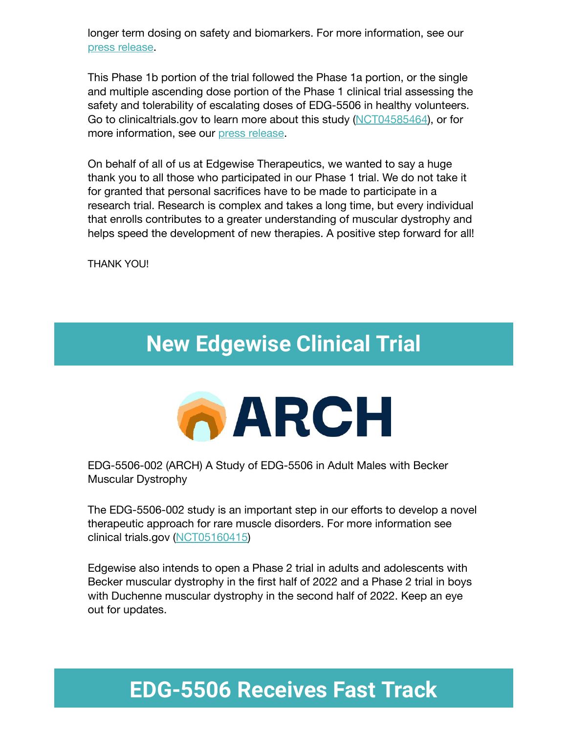longer term dosing on safety and biomarkers. For more information, see our [press release.](https://investors.edgewisetx.com/news/news-details/2022/Edgewise-Therapeutics-Announces-Positive-Topline-Results-From-the-EDG-5506-Phase-1b-Clinical-Trial-in-Adults-With-Becker-Muscular-Dystrophy-BMD/default.aspx)

This Phase 1b portion of the trial followed the Phase 1a portion, or the single and multiple ascending dose portion of the Phase 1 clinical trial assessing the safety and tolerability of escalating doses of EDG-5506 in healthy volunteers. Go to clinicaltrials.gov to learn more about this study ([NCT04585464\)](https://clinicaltrials.gov/ct2/show/NCT04585464?spons=edgewise+therapeutics&draw=2&rank=1), or for more information, see our [press release](https://investors.edgewisetx.com/news/news-details/2021/Edgewise-Therapeutics-Announces-Positive-Topline-Results-from-the-EDG-5506-Phase-1-Multiple-Ascending-Dose-MAD-Study-in-Healthy-Volunteers-HVs-and-Doses-First-Becker-Muscular-Dystrophy-BMD-Patients/default.aspx).

On behalf of all of us at Edgewise Therapeutics, we wanted to say a huge thank you to all those who participated in our Phase 1 trial. We do not take it for granted that personal sacrifices have to be made to participate in a research trial. Research is complex and takes a long time, but every individual that enrolls contributes to a greater understanding of muscular dystrophy and helps speed the development of new therapies. A positive step forward for all!

THANK YOU!

# **New Edgewise Clinical Trial**



EDG-5506-002 (ARCH) A Study of EDG-5506 in Adult Males with Becker Muscular Dystrophy

The EDG-5506-002 study is an important step in our efforts to develop a novel therapeutic approach for rare muscle disorders. For more information see clinical trials.gov ([NCT05160415](https://clinicaltrials.gov/ct2/show/NCT05160415?term=edgewise&draw=4&rank=3))

Edgewise also intends to open a Phase 2 trial in adults and adolescents with Becker muscular dystrophy in the first half of 2022 and a Phase 2 trial in boys with Duchenne muscular dystrophy in the second half of 2022. Keep an eye out for updates.

# **EDG-5506 Receives Fast Track**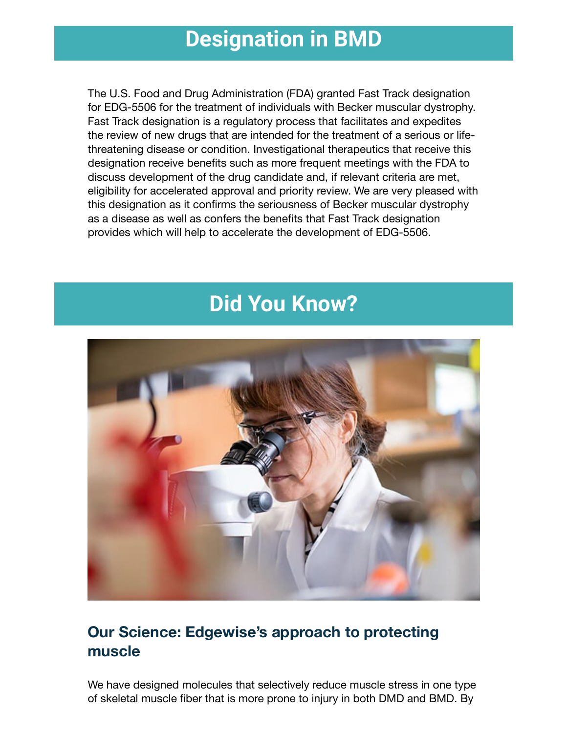### **Designation in BMD**

The U.S. Food and Drug Administration (FDA) granted Fast Track designation for EDG-5506 for the treatment of individuals with Becker muscular dystrophy. Fast Track designation is a regulatory process that facilitates and expedites the review of new drugs that are intended for the treatment of a serious or lifethreatening disease or condition. Investigational therapeutics that receive this designation receive benefits such as more frequent meetings with the FDA to discuss development of the drug candidate and, if relevant criteria are met, eligibility for accelerated approval and priority review. We are very pleased with this designation as it confirms the seriousness of Becker muscular dystrophy as a disease as well as confers the benefits that Fast Track designation provides which will help to accelerate the development of EDG-5506.

## **Did You Know?**



#### **Our Science: Edgewise's approach to protecting muscle**

We have designed molecules that selectively reduce muscle stress in one type of skeletal muscle fiber that is more prone to injury in both DMD and BMD. By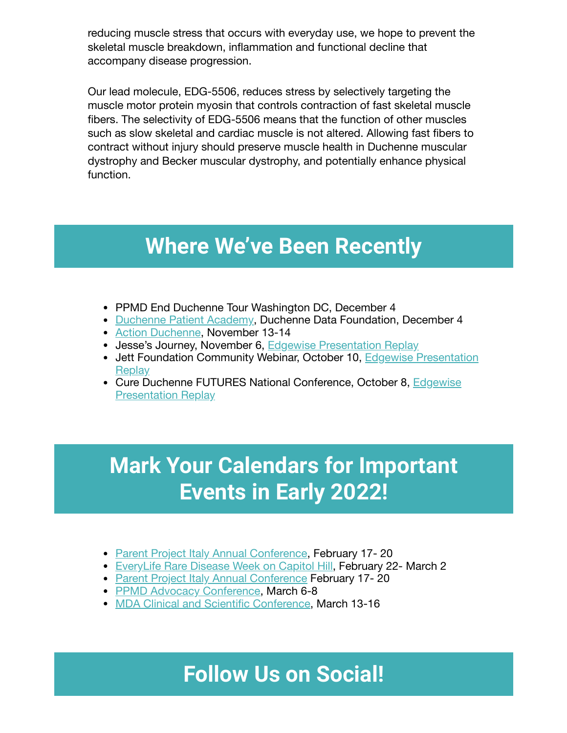reducing muscle stress that occurs with everyday use, we hope to prevent the skeletal muscle breakdown, inflammation and functional decline that accompany disease progression.

Our lead molecule, EDG-5506, reduces stress by selectively targeting the muscle motor protein myosin that controls contraction of fast skeletal muscle fibers. The selectivity of EDG-5506 means that the function of other muscles such as slow skeletal and cardiac muscle is not altered. Allowing fast fibers to contract without injury should preserve muscle health in Duchenne muscular dystrophy and Becker muscular dystrophy, and potentially enhance physical function.

## **Where We've Been Recently**

- PPMD End Duchenne Tour Washington DC, December 4
- [Duchenne](https://www.duchennedatafoundation.org/duchenne-patient-academy-2021/) Patient Academy, Duchenne Data Foundation, December 4
- Action [Duchenne,](https://www.actionduchenne.org/annual-international-conference/) November 13-14
- Jesse's Journey, November 6, Edgewise [Presentation](https://www.youtube.com/watch?v=0I2k6mQYZfE) Replay
- Jett Foundation [Community Webinar,](https://investors.edgewisetx.com/events-and-presentations/event-details/2021/Jett-Foundation-Community-Webinar--Edgewise-Therapeutics-presents-EDG-5506-a-novel-small-molecule-designed-to-protect-dystrophic-muscle/default.aspx) October 10, Edgewise Presentation **Replay**
- Cure Duchenne FUTURES National Conference, October 8, Edgewise [Presentation](https://investors.edgewisetx.com/events-and-presentations/event-details/2021/CureDuchenne-FUTURES/default.aspx) Replay

# **Mark Your Calendars for Important Events in Early 2022!**

- Parent Project [Italy Annual](https://parentproject.it/2021/07/26/save-the-date-xix-conferenza-internazionale-sulla-distrofia-muscolare-di-duchenne-e-becker/) Conference, February 17-20
- [EveryLife](https://everylifefoundation.org/rare-advocates/rare-disease-week/) Rare Disease Week on Capitol Hill, February 22- March 2
- Parent Project [Italy Annual](https://parentproject.it/2021/07/26/save-the-date-xix-conferenza-internazionale-sulla-distrofia-muscolare-di-duchenne-e-becker/) Conference February 17-20
- PPMD [Advocacy Conference](https://www.parentprojectmd.org/events/2022-advocacy-conference/), March 6-8
- MDA Clinical and Scientific [Conference](https://www.mda.org/conferences), March 13-16

#### **Follow Us on Social!**